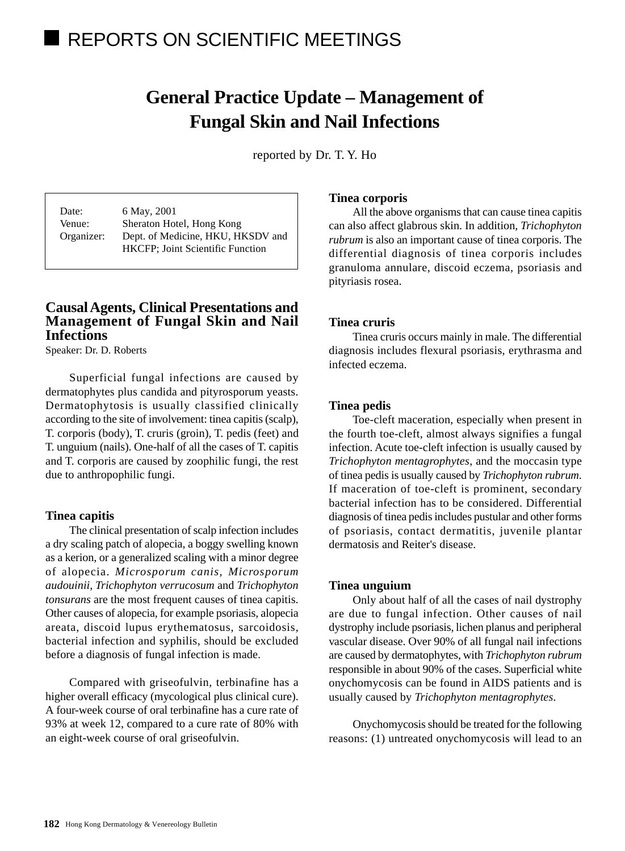# REPORTS ON SCIENTIFIC MEETINGS

# **General Practice Update – Management of Fungal Skin and Nail Infections**

reported by Dr. T. Y. Ho

Date: 6 May, 2001 Venue: Sheraton Hotel, Hong Kong Organizer: Dept. of Medicine, HKU, HKSDV and HKCFP; Joint Scientific Function

## **Causal Agents, Clinical Presentations and Management of Fungal Skin and Nail Infections**

Speaker: Dr. D. Roberts

Superficial fungal infections are caused by dermatophytes plus candida and pityrosporum yeasts. Dermatophytosis is usually classified clinically according to the site of involvement: tinea capitis (scalp), T. corporis (body), T. cruris (groin), T. pedis (feet) and T. unguium (nails). One-half of all the cases of T. capitis and T. corporis are caused by zoophilic fungi, the rest due to anthropophilic fungi.

## **Tinea capitis**

The clinical presentation of scalp infection includes a dry scaling patch of alopecia, a boggy swelling known as a kerion, or a generalized scaling with a minor degree of alopecia. *Microsporum canis, Microsporum audouinii, Trichophyton verrucosum* and *Trichophyton tonsurans* are the most frequent causes of tinea capitis. Other causes of alopecia, for example psoriasis, alopecia areata, discoid lupus erythematosus, sarcoidosis, bacterial infection and syphilis, should be excluded before a diagnosis of fungal infection is made.

Compared with griseofulvin, terbinafine has a higher overall efficacy (mycological plus clinical cure). A four-week course of oral terbinafine has a cure rate of 93% at week 12, compared to a cure rate of 80% with an eight-week course of oral griseofulvin.

## **Tinea corporis**

All the above organisms that can cause tinea capitis can also affect glabrous skin. In addition, *Trichophyton rubrum* is also an important cause of tinea corporis. The differential diagnosis of tinea corporis includes granuloma annulare, discoid eczema, psoriasis and pityriasis rosea.

## **Tinea cruris**

Tinea cruris occurs mainly in male. The differential diagnosis includes flexural psoriasis, erythrasma and infected eczema.

## **Tinea pedis**

Toe-cleft maceration, especially when present in the fourth toe-cleft, almost always signifies a fungal infection. Acute toe-cleft infection is usually caused by *Trichophyton mentagrophytes*, and the moccasin type of tinea pedis is usually caused by *Trichophyton rubrum*. If maceration of toe-cleft is prominent, secondary bacterial infection has to be considered. Differential diagnosis of tinea pedis includes pustular and other forms of psoriasis, contact dermatitis, juvenile plantar dermatosis and Reiter's disease.

#### **Tinea unguium**

Only about half of all the cases of nail dystrophy are due to fungal infection. Other causes of nail dystrophy include psoriasis, lichen planus and peripheral vascular disease. Over 90% of all fungal nail infections are caused by dermatophytes, with *Trichophyton rubrum* responsible in about 90% of the cases. Superficial white onychomycosis can be found in AIDS patients and is usually caused by *Trichophyton mentagrophytes*.

Onychomycosis should be treated for the following reasons: (1) untreated onychomycosis will lead to an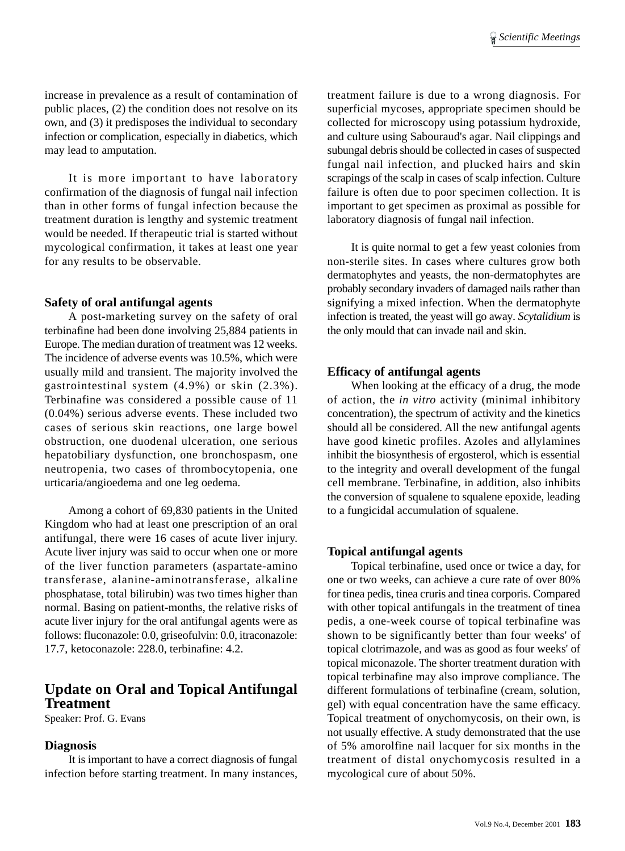increase in prevalence as a result of contamination of public places, (2) the condition does not resolve on its own, and (3) it predisposes the individual to secondary infection or complication, especially in diabetics, which may lead to amputation.

It is more important to have laboratory confirmation of the diagnosis of fungal nail infection than in other forms of fungal infection because the treatment duration is lengthy and systemic treatment would be needed. If therapeutic trial is started without mycological confirmation, it takes at least one year for any results to be observable.

#### **Safety of oral antifungal agents**

A post-marketing survey on the safety of oral terbinafine had been done involving 25,884 patients in Europe. The median duration of treatment was 12 weeks. The incidence of adverse events was 10.5%, which were usually mild and transient. The majority involved the gastrointestinal system (4.9%) or skin (2.3%). Terbinafine was considered a possible cause of 11 (0.04%) serious adverse events. These included two cases of serious skin reactions, one large bowel obstruction, one duodenal ulceration, one serious hepatobiliary dysfunction, one bronchospasm, one neutropenia, two cases of thrombocytopenia, one urticaria/angioedema and one leg oedema.

Among a cohort of 69,830 patients in the United Kingdom who had at least one prescription of an oral antifungal, there were 16 cases of acute liver injury. Acute liver injury was said to occur when one or more of the liver function parameters (aspartate-amino transferase, alanine-aminotransferase, alkaline phosphatase, total bilirubin) was two times higher than normal. Basing on patient-months, the relative risks of acute liver injury for the oral antifungal agents were as follows: fluconazole: 0.0, griseofulvin: 0.0, itraconazole: 17.7, ketoconazole: 228.0, terbinafine: 4.2.

## **Update on Oral and Topical Antifungal Treatment**

Speaker: Prof. G. Evans

#### **Diagnosis**

It is important to have a correct diagnosis of fungal infection before starting treatment. In many instances, treatment failure is due to a wrong diagnosis. For superficial mycoses, appropriate specimen should be collected for microscopy using potassium hydroxide, and culture using Sabouraud's agar. Nail clippings and subungal debris should be collected in cases of suspected fungal nail infection, and plucked hairs and skin scrapings of the scalp in cases of scalp infection. Culture failure is often due to poor specimen collection. It is important to get specimen as proximal as possible for laboratory diagnosis of fungal nail infection.

It is quite normal to get a few yeast colonies from non-sterile sites. In cases where cultures grow both dermatophytes and yeasts, the non-dermatophytes are probably secondary invaders of damaged nails rather than signifying a mixed infection. When the dermatophyte infection is treated, the yeast will go away. *Scytalidium* is the only mould that can invade nail and skin.

#### **Efficacy of antifungal agents**

When looking at the efficacy of a drug, the mode of action, the *in vitro* activity (minimal inhibitory concentration), the spectrum of activity and the kinetics should all be considered. All the new antifungal agents have good kinetic profiles. Azoles and allylamines inhibit the biosynthesis of ergosterol, which is essential to the integrity and overall development of the fungal cell membrane. Terbinafine, in addition, also inhibits the conversion of squalene to squalene epoxide, leading to a fungicidal accumulation of squalene.

#### **Topical antifungal agents**

Topical terbinafine, used once or twice a day, for one or two weeks, can achieve a cure rate of over 80% for tinea pedis, tinea cruris and tinea corporis. Compared with other topical antifungals in the treatment of tinea pedis, a one-week course of topical terbinafine was shown to be significantly better than four weeks' of topical clotrimazole, and was as good as four weeks' of topical miconazole. The shorter treatment duration with topical terbinafine may also improve compliance. The different formulations of terbinafine (cream, solution, gel) with equal concentration have the same efficacy. Topical treatment of onychomycosis, on their own, is not usually effective. A study demonstrated that the use of 5% amorolfine nail lacquer for six months in the treatment of distal onychomycosis resulted in a mycological cure of about 50%.